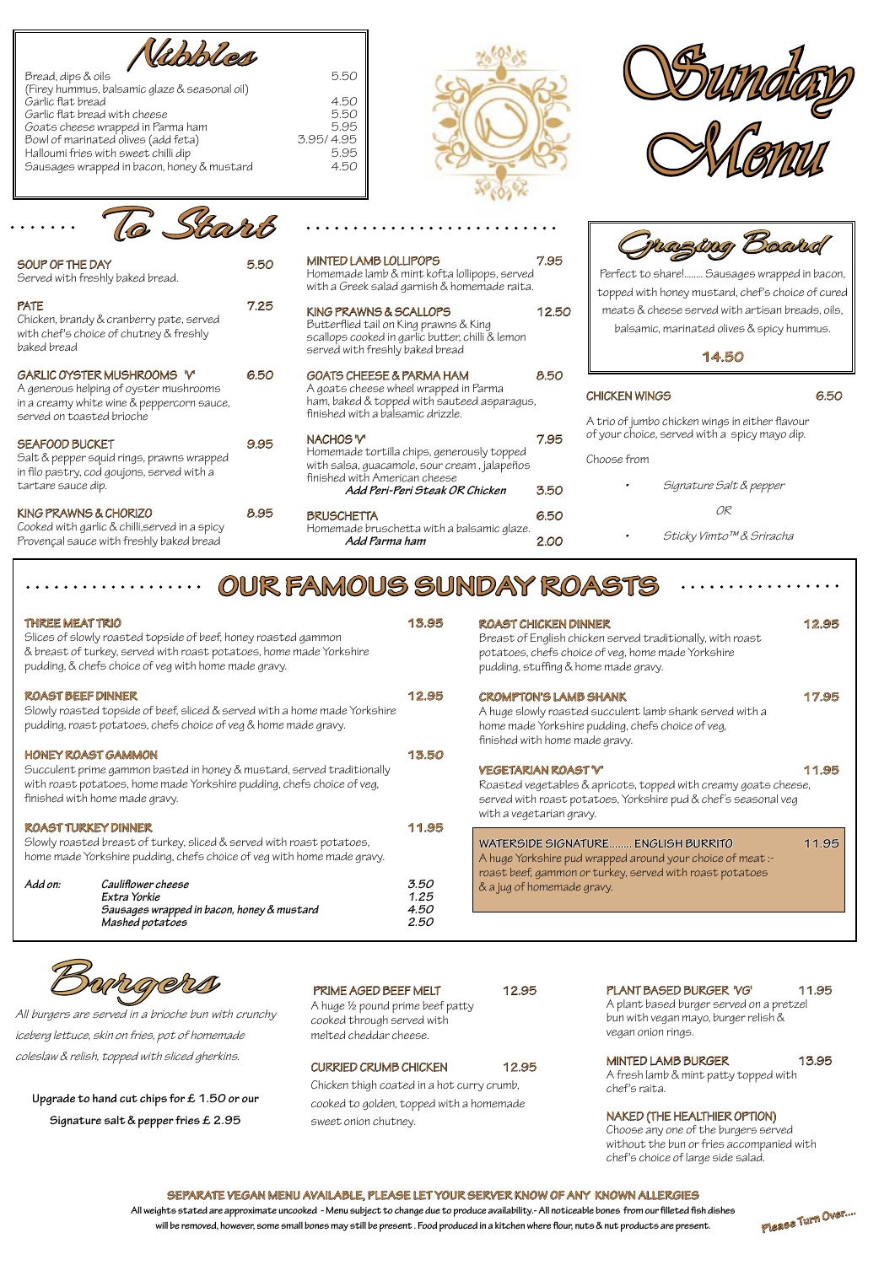| <b>ROAST CHICKEN DINNER</b><br>Breast of English chicken served traditionally, with roast<br>potatoes, chefs choice of veg, home made Yorkshire<br>pudding, stuffing & home made gravy.           | 12.95 |
|---------------------------------------------------------------------------------------------------------------------------------------------------------------------------------------------------|-------|
| <b>CROMPTON'S LAMB SHANK</b><br>A huge slowly roasted succulent lamb shank served with a<br>home made Yorkshire pudding, chefs choice of veg,<br>finished with home made gravy.                   | 17.95 |
| <b>VEGETARIAN ROAST'V'</b><br>Roasted vegetables & apricots, topped with creamy goats cheese,<br>served with roast potatoes, Yorkshire pud & chef's seasonal veg<br>with a vegetarian gravy.      | 11.95 |
| <b>WATERSIDE SIGNATURE ENGLISH BURRITO</b><br>A huge Yorkshire pud wrapped around your choice of meat:-<br>roast beef, gammon or turkey, served with roast potatoes<br>& a jug of homemade gravy. | 11.95 |









| Bread, dips & oils                            | 5.50      |
|-----------------------------------------------|-----------|
| (Firey hummus, balsamic glaze & seasonal oil) |           |
| Garlic flat bread                             | 4.50      |
| Garlic flat bread with cheese                 | 5.50      |
| Goats cheese wrapped in Parma ham             | 5.95      |
| Bowl of marinated olives (add feta)           | 3.95/4.95 |
| Halloumi fries with sweet chilli dip          | 5.95      |
| Sausages wrapped in bacon, honey & mustard    | 4.50      |
|                                               |           |

Slices of slowly roasted topside of beef, honey roasted gammon & breast of turkey, served with roast potatoes, home made Yorkshire pudding, & chefs choice of veg with home made gravy.

#### **ROAST BEEF DINNER 12.95**

Slowly roasted topside of beef, sliced & served with a home made Yorkshire pudding, roast potatoes, chefs choice of veg & home made gravy.

#### **HONEY ROAST GAMMON 13.50**

MINTED LAMB LOLLIPOPS 7.95 Homemade lamb & mint kofta lollipops, served with a Greek salad garnish & homemade raita.

KING PRAWNS & SCALLOPS 12.50

GOATS CHEESE & PARMA HAM 8.50

NACHOS 'V' 7.95

BRUSCHETTA 6.50

Succulent prime gammon basted in honey & mustard, served traditionally with roast potatoes, home made Yorkshire pudding, chefs choice of veg, finished with home made gravy.

### **ROAST TURKEY DINNER 11.95**

Slowly roasted breast of turkey, sliced & served with roast potatoes, home made Yorkshire pudding, chefs choice of veg with home made gravy.

| Add on: | Cauliflower cheese                         | 3.50 |
|---------|--------------------------------------------|------|
|         | Extra Yorkie                               | 1.25 |
|         | Sausages wrapped in bacon, honey & mustard | 4.50 |
|         | Mashed potatoes                            | 2.50 |
|         |                                            |      |

## **OUR FAMOUS SUNDAY ROASTS**

#### **SEPARATE VEGAN MENU AVAILABLE, PLEASE LET YOUR SERVER KNOW OF ANY KNOWN ALLERGIES**

**All weights stated are approximate uncooked - Menu subject to change due to produce availability.- All noticeable bones from our filleted fish dishes will be removed, however, some small bones may still be present . Food produced in a kitchen where flour, nuts & nut products are present.**

| SOUP OF THE DAY<br>Served with freshly baked bread.                                                                                              | 5.50 |
|--------------------------------------------------------------------------------------------------------------------------------------------------|------|
| <b>PATE</b><br>Chicken, brandy & cranberry pate, served<br>with chef's choice of chutney & freshly<br>baked bread                                | 7.25 |
| GARLIC OYSTER MUSHROOMS 'V'<br>A generous helping of oyster mushrooms<br>in a creamy white wine & peppercorn sauce,<br>served on toasted brioche | 6.50 |
| <b>SEAFOOD BUCKET</b><br>Salt & pepper squid rings, prawns wrapped<br>in filo pastry, cod goujons, served with a<br>tartare sauce dip.           | 9.95 |
| KING PRAWNS & CHORIZO<br>Cooked with aarlic & chilli served in a spicy                                                                           | 8.95 |

Cooked with garlic & chilli,served in a spicy Provençal sauce with freshly baked bread



Butterflied tail on King prawns & King

scallops cooked in garlic butter, chilli & lemon

#### **THREE MEAT TRIO** 13.95

served with freshly baked bread

A goats cheese wheel wrapped in Parma ham, baked & topped with sauteed asparagus,

finished with a balsamic drizzle.

Homemade tortilla chips, generously topped with salsa, guacamole, sour cream , jalapeños

finished with American cheese

**Add Peri-Peri Steak OR Chicken** 3.50

Homemade bruschetta with a balsamic glaze.

**Add Parma ham** 2.00



Perfect to share!........ Sausages wrapped in bacon, topped with honey mustard, chef's choice of cured meats & cheese served with artisan breads, oils, balsamic, marinated olives & spicy hummus.

**14.50** 

#### CHICKEN WINGS 6.50

A trio of jumbo chicken wings in either flavour of your choice, served with a spicy mayo dip.

Choose from

| Signature Salt & pepper |
|-------------------------|
| 0R                      |
| Sticky Vimto™& Sriracha |

A plant based burger served on a pretzel bun with vegan mayo, burger relish & vegan onion rings.

MINTED LAMB BURGER 13.95

A fresh lamb & mint patty topped with chef's raita.

#### NAKED (THE HEALTHIER OPTION)

Choose any one of the burgers served without the bun or fries accompanied with chef's choice of large side salad.

A huge ½ pound prime beef patty cooked through served with melted cheddar cheese.

#### CURRIED CRUMB CHICKEN 12.95

Chicken thigh coated in a hot curry crumb, cooked to golden, topped with a homemade sweet onion chutney.

PLANT BASED BURGER 'VG' 11.95



All burgers are served in a brioche bun with crunchy

iceberg lettuce, skin on fries, pot of homemade coleslaw & relish, topped with sliced gherkins.

**Upgrade to hand cut chips for £ 1.50 or our Signature salt & pepper fries £ 2.95**

#### PRIME AGED BEEF MELT 12.95